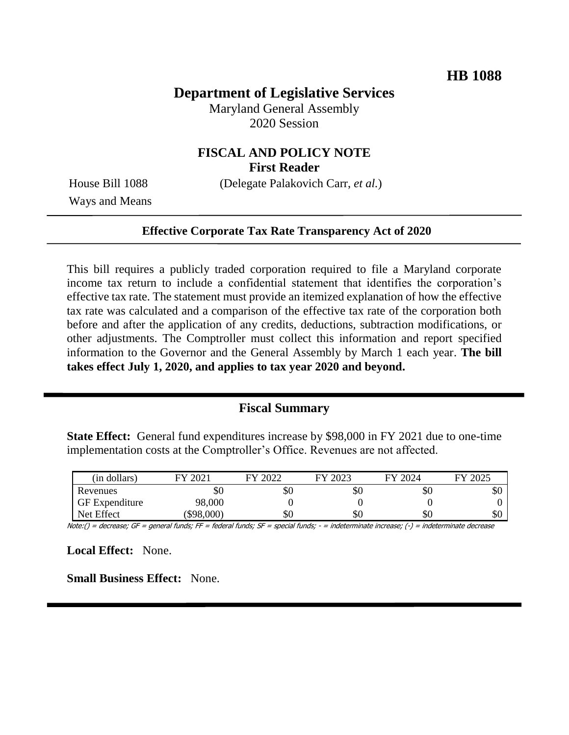## **Department of Legislative Services**

Maryland General Assembly 2020 Session

# **FISCAL AND POLICY NOTE**

**First Reader**

Ways and Means

House Bill 1088 (Delegate Palakovich Carr, *et al.*)

#### **Effective Corporate Tax Rate Transparency Act of 2020**

This bill requires a publicly traded corporation required to file a Maryland corporate income tax return to include a confidential statement that identifies the corporation's effective tax rate. The statement must provide an itemized explanation of how the effective tax rate was calculated and a comparison of the effective tax rate of the corporation both before and after the application of any credits, deductions, subtraction modifications, or other adjustments. The Comptroller must collect this information and report specified information to the Governor and the General Assembly by March 1 each year. **The bill takes effect July 1, 2020, and applies to tax year 2020 and beyond.**

### **Fiscal Summary**

**State Effect:** General fund expenditures increase by \$98,000 in FY 2021 due to one-time implementation costs at the Comptroller's Office. Revenues are not affected.

| (in dollars)          | $202^{\circ}$ | 2022 | FY 2023 | FY 2024 | 2025<br>FУ |
|-----------------------|---------------|------|---------|---------|------------|
| Revenues              | \$0           | \$0  | эU      | эU      | \$0        |
| <b>GF</b> Expenditure | 98,000        |      |         |         |            |
| Net Effect            | \$98,000      | \$0  | ΦU      | \$0     | \$0        |

Note:() = decrease; GF = general funds; FF = federal funds; SF = special funds; - = indeterminate increase; (-) = indeterminate decrease

**Local Effect:** None.

**Small Business Effect:** None.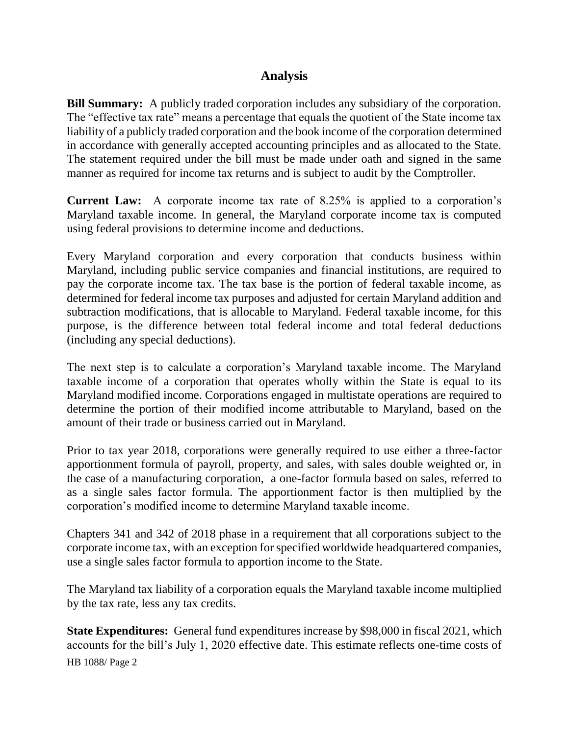## **Analysis**

**Bill Summary:** A publicly traded corporation includes any subsidiary of the corporation. The "effective tax rate" means a percentage that equals the quotient of the State income tax liability of a publicly traded corporation and the book income of the corporation determined in accordance with generally accepted accounting principles and as allocated to the State. The statement required under the bill must be made under oath and signed in the same manner as required for income tax returns and is subject to audit by the Comptroller.

**Current Law:** A corporate income tax rate of 8.25% is applied to a corporation's Maryland taxable income. In general, the Maryland corporate income tax is computed using federal provisions to determine income and deductions.

Every Maryland corporation and every corporation that conducts business within Maryland, including public service companies and financial institutions, are required to pay the corporate income tax. The tax base is the portion of federal taxable income, as determined for federal income tax purposes and adjusted for certain Maryland addition and subtraction modifications, that is allocable to Maryland. Federal taxable income, for this purpose, is the difference between total federal income and total federal deductions (including any special deductions).

The next step is to calculate a corporation's Maryland taxable income. The Maryland taxable income of a corporation that operates wholly within the State is equal to its Maryland modified income. Corporations engaged in multistate operations are required to determine the portion of their modified income attributable to Maryland, based on the amount of their trade or business carried out in Maryland.

Prior to tax year 2018, corporations were generally required to use either a three-factor apportionment formula of payroll, property, and sales, with sales double weighted or, in the case of a manufacturing corporation, a one-factor formula based on sales, referred to as a single sales factor formula. The apportionment factor is then multiplied by the corporation's modified income to determine Maryland taxable income.

Chapters 341 and 342 of 2018 phase in a requirement that all corporations subject to the corporate income tax, with an exception for specified worldwide headquartered companies, use a single sales factor formula to apportion income to the State.

The Maryland tax liability of a corporation equals the Maryland taxable income multiplied by the tax rate, less any tax credits.

HB 1088/ Page 2 **State Expenditures:** General fund expenditures increase by \$98,000 in fiscal 2021, which accounts for the bill's July 1, 2020 effective date. This estimate reflects one-time costs of